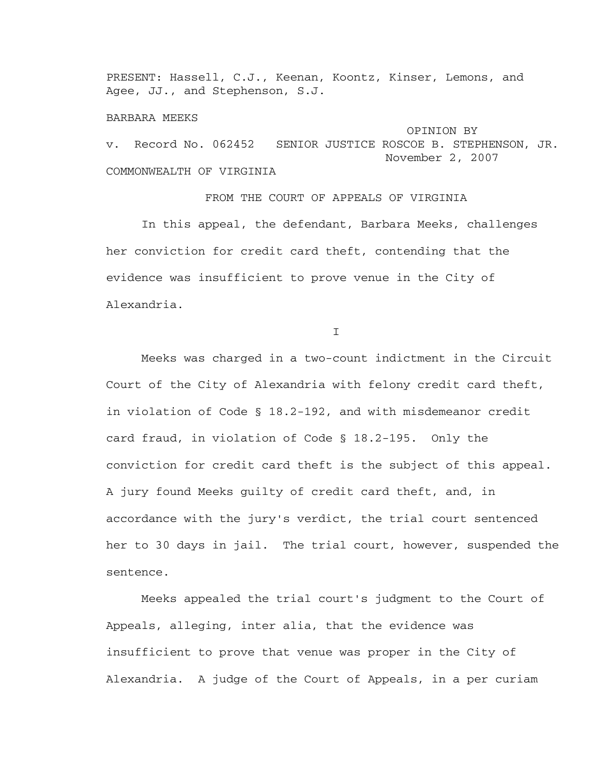PRESENT: Hassell, C.J., Keenan, Koontz, Kinser, Lemons, and Agee, JJ., and Stephenson, S.J.

## BARBARA MEEKS

 OPINION BY v. Record No. 062452 SENIOR JUSTICE ROSCOE B. STEPHENSON, JR. November 2, 2007 COMMONWEALTH OF VIRGINIA

FROM THE COURT OF APPEALS OF VIRGINIA In this appeal, the defendant, Barbara Meeks, challenges her conviction for credit card theft, contending that the evidence was insufficient to prove venue in the City of Alexandria.

I

 Meeks was charged in a two-count indictment in the Circuit Court of the City of Alexandria with felony credit card theft, in violation of Code § 18.2-192, and with misdemeanor credit card fraud, in violation of Code § 18.2-195. Only the conviction for credit card theft is the subject of this appeal. A jury found Meeks guilty of credit card theft, and, in accordance with the jury's verdict, the trial court sentenced her to 30 days in jail. The trial court, however, suspended the sentence.

 Meeks appealed the trial court's judgment to the Court of Appeals, alleging, inter alia, that the evidence was insufficient to prove that venue was proper in the City of Alexandria. A judge of the Court of Appeals, in a per curiam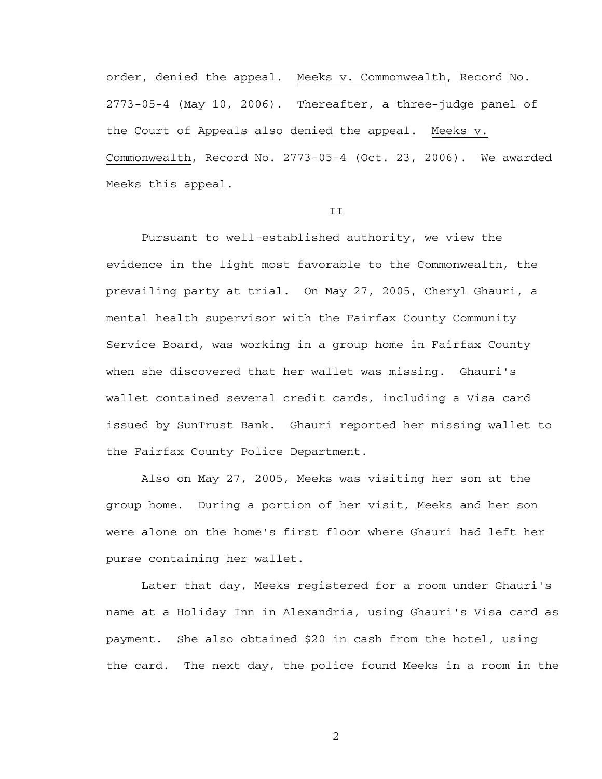order, denied the appeal. Meeks v. Commonwealth, Record No. 2773-05-4 (May 10, 2006). Thereafter, a three-judge panel of the Court of Appeals also denied the appeal. Meeks v. Commonwealth, Record No. 2773-05-4 (Oct. 23, 2006). We awarded Meeks this appeal.

## **TT**

 Pursuant to well-established authority, we view the evidence in the light most favorable to the Commonwealth, the prevailing party at trial. On May 27, 2005, Cheryl Ghauri, a mental health supervisor with the Fairfax County Community Service Board, was working in a group home in Fairfax County when she discovered that her wallet was missing. Ghauri's wallet contained several credit cards, including a Visa card issued by SunTrust Bank. Ghauri reported her missing wallet to the Fairfax County Police Department.

 Also on May 27, 2005, Meeks was visiting her son at the group home. During a portion of her visit, Meeks and her son were alone on the home's first floor where Ghauri had left her purse containing her wallet.

 Later that day, Meeks registered for a room under Ghauri's name at a Holiday Inn in Alexandria, using Ghauri's Visa card as payment. She also obtained \$20 in cash from the hotel, using the card. The next day, the police found Meeks in a room in the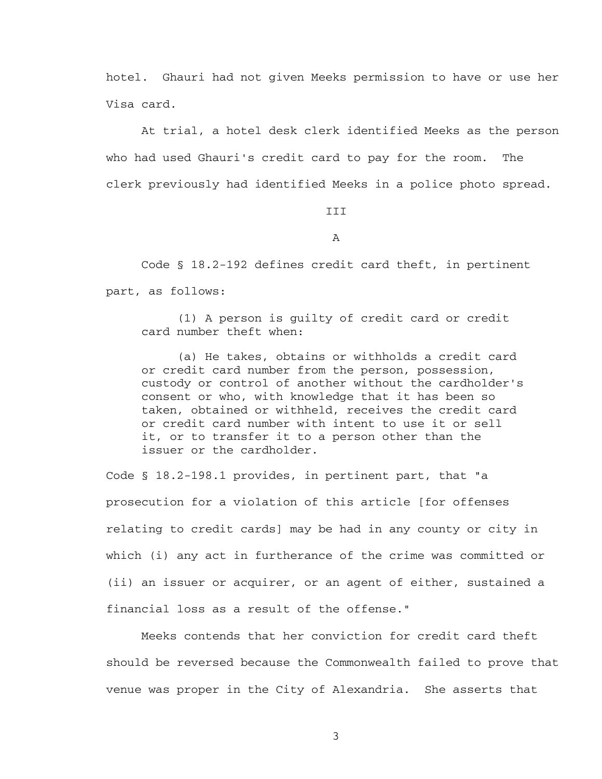hotel. Ghauri had not given Meeks permission to have or use her Visa card.

 At trial, a hotel desk clerk identified Meeks as the person who had used Ghauri's credit card to pay for the room. The clerk previously had identified Meeks in a police photo spread.

**TTT** 

A

 Code § 18.2-192 defines credit card theft, in pertinent part, as follows:

 (1) A person is guilty of credit card or credit card number theft when:

 (a) He takes, obtains or withholds a credit card or credit card number from the person, possession, custody or control of another without the cardholder's consent or who, with knowledge that it has been so taken, obtained or withheld, receives the credit card or credit card number with intent to use it or sell it, or to transfer it to a person other than the issuer or the cardholder.

Code § 18.2-198.1 provides, in pertinent part, that "a prosecution for a violation of this article [for offenses relating to credit cards] may be had in any county or city in which (i) any act in furtherance of the crime was committed or (ii) an issuer or acquirer, or an agent of either, sustained a financial loss as a result of the offense."

 Meeks contends that her conviction for credit card theft should be reversed because the Commonwealth failed to prove that venue was proper in the City of Alexandria. She asserts that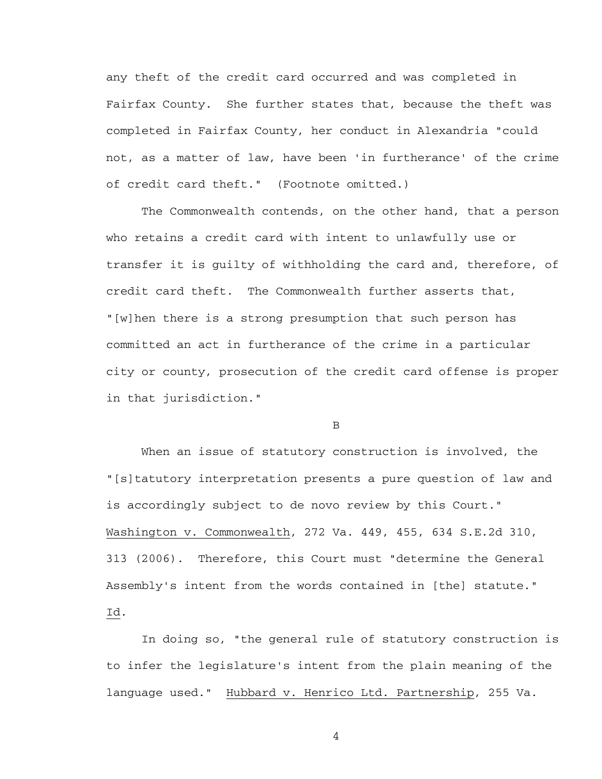any theft of the credit card occurred and was completed in Fairfax County. She further states that, because the theft was completed in Fairfax County, her conduct in Alexandria "could not, as a matter of law, have been 'in furtherance' of the crime of credit card theft." (Footnote omitted.)

 The Commonwealth contends, on the other hand, that a person who retains a credit card with intent to unlawfully use or transfer it is guilty of withholding the card and, therefore, of credit card theft. The Commonwealth further asserts that, "[w]hen there is a strong presumption that such person has committed an act in furtherance of the crime in a particular city or county, prosecution of the credit card offense is proper in that jurisdiction."

B

 When an issue of statutory construction is involved, the "[s]tatutory interpretation presents a pure question of law and is accordingly subject to de novo review by this Court." Washington v. Commonwealth, 272 Va. 449, 455, 634 S.E.2d 310, 313 (2006). Therefore, this Court must "determine the General Assembly's intent from the words contained in [the] statute." Id.

 In doing so, "the general rule of statutory construction is to infer the legislature's intent from the plain meaning of the language used." Hubbard v. Henrico Ltd. Partnership, 255 Va.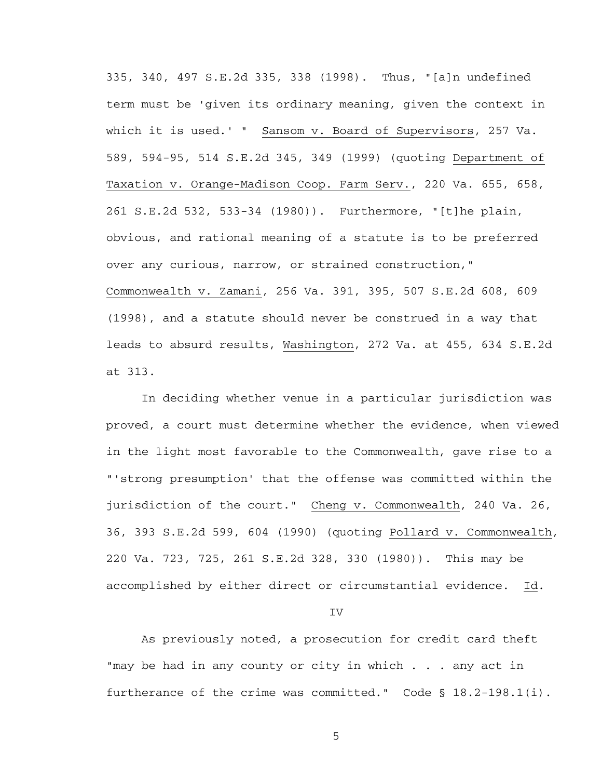335, 340, 497 S.E.2d 335, 338 (1998). Thus, "[a]n undefined term must be 'given its ordinary meaning, given the context in which it is used.' " Sansom v. Board of Supervisors, 257 Va. 589, 594-95, 514 S.E.2d 345, 349 (1999) (quoting Department of Taxation v. Orange-Madison Coop. Farm Serv., 220 Va. 655, 658, 261 S.E.2d 532, 533-34 (1980)). Furthermore, "[t]he plain, obvious, and rational meaning of a statute is to be preferred over any curious, narrow, or strained construction," Commonwealth v. Zamani, 256 Va. 391, 395, 507 S.E.2d 608, 609 (1998), and a statute should never be construed in a way that leads to absurd results, Washington, 272 Va. at 455, 634 S.E.2d at 313.

 In deciding whether venue in a particular jurisdiction was proved, a court must determine whether the evidence, when viewed in the light most favorable to the Commonwealth, gave rise to a "'strong presumption' that the offense was committed within the jurisdiction of the court." Cheng v. Commonwealth, 240 Va. 26, 36, 393 S.E.2d 599, 604 (1990) (quoting Pollard v. Commonwealth, 220 Va. 723, 725, 261 S.E.2d 328, 330 (1980)). This may be accomplished by either direct or circumstantial evidence. Id.

IV

 As previously noted, a prosecution for credit card theft "may be had in any county or city in which . . . any act in furtherance of the crime was committed." Code § 18.2-198.1(i).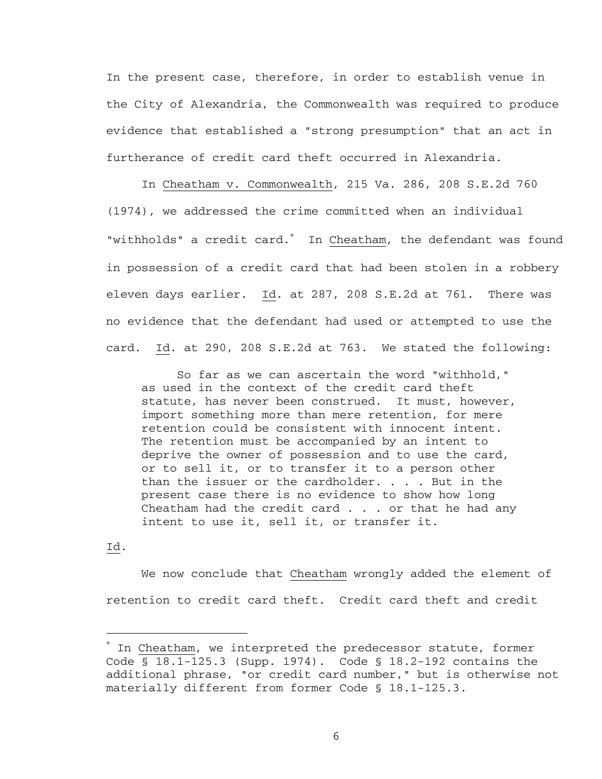In the present case, therefore, in order to establish venue in the City of Alexandria, the Commonwealth was required to produce evidence that established a "strong presumption" that an act in furtherance of credit card theft occurred in Alexandria.

 In Cheatham v. Commonwealth, 215 Va. 286, 208 S.E.2d 760 (1974), we addressed the crime committed when an individual "withholds" a credit card.<sup>\*</sup> In Cheatham, the defendant was found in possession of a credit card that had been stolen in a robbery eleven days earlier. Id. at 287, 208 S.E.2d at 761. There was no evidence that the defendant had used or attempted to use the card. Id. at 290, 208 S.E.2d at 763. We stated the following:

 So far as we can ascertain the word "withhold," as used in the context of the credit card theft statute, has never been construed. It must, however, import something more than mere retention, for mere retention could be consistent with innocent intent. The retention must be accompanied by an intent to deprive the owner of possession and to use the card, or to sell it, or to transfer it to a person other than the issuer or the cardholder.  $\ldots$  . But in the present case there is no evidence to show how long Cheatham had the credit card . . . or that he had any intent to use it, sell it, or transfer it.

## Id.

i

 We now conclude that Cheatham wrongly added the element of retention to credit card theft. Credit card theft and credit

<sup>∗</sup> In Cheatham, we interpreted the predecessor statute, former Code § 18.1-125.3 (Supp. 1974). Code § 18.2-192 contains the additional phrase, "or credit card number," but is otherwise not materially different from former Code § 18.1-125.3.